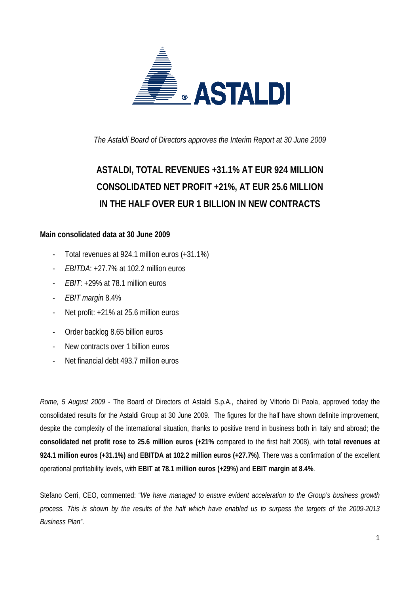

*The Astaldi Board of Directors approves the Interim Report at 30 June 2009* 

# **ASTALDI, TOTAL REVENUES +31.1% AT EUR 924 MILLION CONSOLIDATED NET PROFIT +21%, AT EUR 25.6 MILLION IN THE HALF OVER EUR 1 BILLION IN NEW CONTRACTS**

# **Main consolidated data at 30 June 2009**

- Total revenues at 924.1 million euros (+31.1%)
- *EBITDA*: +27.7% at 102.2 million euros
- *EBIT*: +29% at 78.1 million euros
- *EBIT margin* 8.4%
- Net profit: +21% at 25.6 million euros
- Order backlog 8.65 billion euros
- New contracts over 1 billion euros
- Net financial debt 493.7 million euros

*Rome, 5 August 2009* - The Board of Directors of Astaldi S.p.A., chaired by Vittorio Di Paola, approved today the consolidated results for the Astaldi Group at 30 June 2009. The figures for the half have shown definite improvement, despite the complexity of the international situation, thanks to positive trend in business both in Italy and abroad; the **consolidated net profit rose to 25.6 million euros (+21%** compared to the first half 2008), with **total revenues at 924.1 million euros (+31.1%)** and **EBITDA at 102.2 million euros (+27.7%)**. There was a confirmation of the excellent operational profitability levels, with **EBIT at 78.1 million euros (+29%)** and **EBIT margin at 8.4%**.

Stefano Cerri, CEO, commented: "*We have managed to ensure evident acceleration to the Group's business growth process. This is shown by the results of the half which have enabled us to surpass the targets of the 2009-2013 Business Plan"*.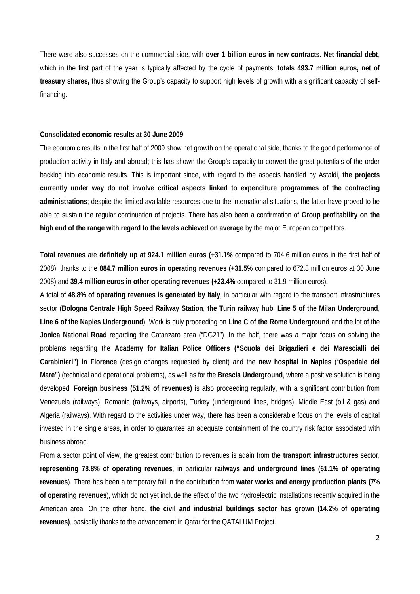There were also successes on the commercial side, with **over 1 billion euros in new contracts**. **Net financial debt**, which in the first part of the year is typically affected by the cycle of payments, **totals 493.7 million euros, net of treasury shares,** thus showing the Group's capacity to support high levels of growth with a significant capacity of selffinancing.

#### **Consolidated economic results at 30 June 2009**

The economic results in the first half of 2009 show net growth on the operational side, thanks to the good performance of production activity in Italy and abroad; this has shown the Group's capacity to convert the great potentials of the order backlog into economic results. This is important since, with regard to the aspects handled by Astaldi, **the projects currently under way do not involve critical aspects linked to expenditure programmes of the contracting administrations**; despite the limited available resources due to the international situations, the latter have proved to be able to sustain the regular continuation of projects. There has also been a confirmation of **Group profitability on the high end of the range with regard to the levels achieved on average** by the major European competitors.

**Total revenues** are **definitely up at 924.1 million euros (+31.1%** compared to 704.6 million euros in the first half of 2008), thanks to the **884.7 million euros in operating revenues (+31.5%** compared to 672.8 million euros at 30 June 2008) and **39.4 million euros in other operating revenues (+23.4%** compared to 31.9 million euros)**.** 

A total of **48.8% of operating revenues is generated by Italy**, in particular with regard to the transport infrastructures sector (**Bologna Centrale High Speed Railway Station**, **the Turin railway hub**, **Line 5 of the Milan Underground**, **Line 6 of the Naples Underground**). Work is duly proceeding on **Line C of the Rome Underground** and the lot of the **Jonica National Road** regarding the Catanzaro area ("DG21"). In the half, there was a major focus on solving the problems regarding the **Academy for Italian Police Officers ("Scuola dei Brigadieri e dei Marescialli dei Carabinieri") in Florence** (design changes requested by client) and the **new hospital in Naples** ("**Ospedale del Mare")** (technical and operational problems), as well as for the **Brescia Underground**, where a positive solution is being developed. **Foreign business (51.2% of revenues)** is also proceeding regularly, with a significant contribution from Venezuela (railways), Romania (railways, airports), Turkey (underground lines, bridges), Middle East (oil & gas) and Algeria (railways). With regard to the activities under way, there has been a considerable focus on the levels of capital invested in the single areas, in order to guarantee an adequate containment of the country risk factor associated with business abroad.

From a sector point of view, the greatest contribution to revenues is again from the **transport infrastructures** sector, **representing 78.8% of operating revenues**, in particular **railways and underground lines (61.1% of operating revenues**). There has been a temporary fall in the contribution from **water works and energy production plants (7% of operating revenues**), which do not yet include the effect of the two hydroelectric installations recently acquired in the American area. On the other hand, **the civil and industrial buildings sector has grown (14.2% of operating revenues)**, basically thanks to the advancement in Qatar for the QATALUM Project.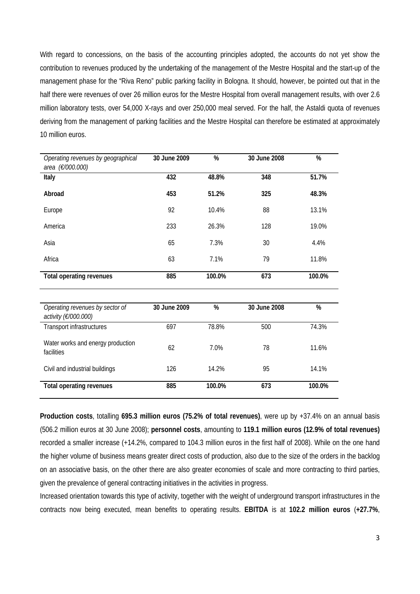With regard to concessions, on the basis of the accounting principles adopted, the accounts do not yet show the contribution to revenues produced by the undertaking of the management of the Mestre Hospital and the start-up of the management phase for the "Riva Reno" public parking facility in Bologna. It should, however, be pointed out that in the half there were revenues of over 26 million euros for the Mestre Hospital from overall management results, with over 2.6 million laboratory tests, over 54,000 X-rays and over 250,000 meal served. For the half, the Astaldi quota of revenues deriving from the management of parking facilities and the Mestre Hospital can therefore be estimated at approximately 10 million euros.

| Operating revenues by geographical<br>area (€/000.000)  | 30 June 2009 | %      | 30 June 2008 | %      |
|---------------------------------------------------------|--------------|--------|--------------|--------|
| Italy                                                   | 432          | 48.8%  | 348          | 51.7%  |
| Abroad                                                  | 453          | 51.2%  | 325          | 48.3%  |
| Europe                                                  | 92           | 10.4%  | 88           | 13.1%  |
| America                                                 | 233          | 26.3%  | 128          | 19.0%  |
| Asia                                                    | 65           | 7.3%   | 30           | 4.4%   |
| Africa                                                  | 63           | 7.1%   | 79           | 11.8%  |
| <b>Total operating revenues</b>                         | 885          | 100.0% | 673          | 100.0% |
|                                                         |              |        |              |        |
| Operating revenues by sector of<br>activity (€/000.000) | 30 June 2009 | %      | 30 June 2008 | %      |

| activity ( $\epsilon$ /000.000)                 |     |        |     |        |
|-------------------------------------------------|-----|--------|-----|--------|
| Transport infrastructures                       | 697 | 78.8%  | 500 | 74.3%  |
| Water works and energy production<br>facilities | 62  | 7.0%   | 78  | 11.6%  |
| Civil and industrial buildings                  | 126 | 14.2%  | 95  | 14.1%  |
| Total operating revenues                        | 885 | 100.0% | 673 | 100.0% |

**Production costs**, totalling **695.3 million euros (75.2% of total revenues)**, were up by +37.4% on an annual basis (506.2 million euros at 30 June 2008); **personnel costs**, amounting to **119.1 million euros (12.9% of total revenues)** recorded a smaller increase (+14.2%, compared to 104.3 million euros in the first half of 2008). While on the one hand the higher volume of business means greater direct costs of production, also due to the size of the orders in the backlog on an associative basis, on the other there are also greater economies of scale and more contracting to third parties, given the prevalence of general contracting initiatives in the activities in progress.

Increased orientation towards this type of activity, together with the weight of underground transport infrastructures in the contracts now being executed, mean benefits to operating results. **EBITDA** is at **102.2 million euros** (**+27.7%**,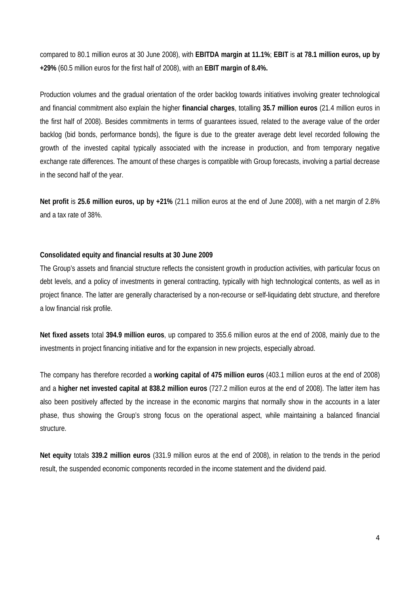compared to 80.1 million euros at 30 June 2008), with **EBITDA margin at 11.1%**; **EBIT** is **at 78.1 million euros, up by +29%** (60.5 million euros for the first half of 2008), with an **EBIT margin of 8.4%.**

Production volumes and the gradual orientation of the order backlog towards initiatives involving greater technological and financial commitment also explain the higher **financial charges**, totalling **35.7 million euros** (21.4 million euros in the first half of 2008). Besides commitments in terms of guarantees issued, related to the average value of the order backlog (bid bonds, performance bonds), the figure is due to the greater average debt level recorded following the growth of the invested capital typically associated with the increase in production, and from temporary negative exchange rate differences. The amount of these charges is compatible with Group forecasts, involving a partial decrease in the second half of the year.

**Net profit** is **25.6 million euros, up by +21%** (21.1 million euros at the end of June 2008), with a net margin of 2.8% and a tax rate of 38%.

#### **Consolidated equity and financial results at 30 June 2009**

The Group's assets and financial structure reflects the consistent growth in production activities, with particular focus on debt levels, and a policy of investments in general contracting, typically with high technological contents, as well as in project finance. The latter are generally characterised by a non-recourse or self-liquidating debt structure, and therefore a low financial risk profile.

**Net fixed assets** total **394.9 million euros**, up compared to 355.6 million euros at the end of 2008, mainly due to the investments in project financing initiative and for the expansion in new projects, especially abroad.

The company has therefore recorded a **working capital of 475 million euros** (403.1 million euros at the end of 2008) and a **higher net invested capital at 838.2 million euros** (727.2 million euros at the end of 2008). The latter item has also been positively affected by the increase in the economic margins that normally show in the accounts in a later phase, thus showing the Group's strong focus on the operational aspect, while maintaining a balanced financial structure.

**Net equity** totals **339.2 million euros** (331.9 million euros at the end of 2008), in relation to the trends in the period result, the suspended economic components recorded in the income statement and the dividend paid.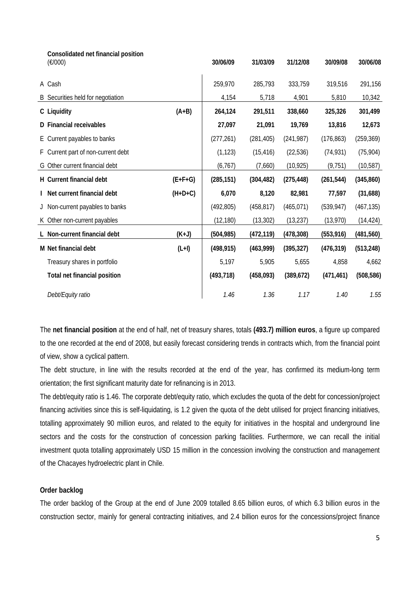| Consolidated net financial position<br>(E/000) |           | 30/06/09   | 31/03/09   | 31/12/08   | 30/09/08   | 30/06/08   |
|------------------------------------------------|-----------|------------|------------|------------|------------|------------|
| A Cash                                         |           | 259,970    | 285,793    | 333,759    | 319,516    | 291,156    |
| B Securities held for negotiation              |           | 4,154      | 5,718      | 4,901      | 5,810      | 10,342     |
| C Liquidity                                    | $(A+B)$   | 264,124    | 291,511    | 338,660    | 325,326    | 301,499    |
| D Financial receivables                        |           | 27,097     | 21,091     | 19,769     | 13,816     | 12,673     |
| E Current payables to banks                    |           | (277, 261) | (281, 405) | (241, 987) | (176, 863) | (259, 369) |
| F Current part of non-current debt             |           | (1, 123)   | (15, 416)  | (22, 536)  | (74, 931)  | (75, 904)  |
| G Other current financial debt                 |           | (6,767)    | (7,660)    | (10, 925)  | (9, 751)   | (10, 587)  |
| H Current financial debt                       | $(E+F+G)$ | (285, 151) | (304, 482) | (275, 448) | (261, 544) | (345, 860) |
| I Net current financial debt                   | $(H+D+C)$ | 6,070      | 8,120      | 82,981     | 77,597     | (31,688)   |
| J Non-current payables to banks                |           | (492, 805) | (458, 817) | (465, 071) | (539, 947) | (467, 135) |
| K Other non-current payables                   |           | (12, 180)  | (13, 302)  | (13, 237)  | (13,970)   | (14, 424)  |
| L Non-current financial debt                   | $(K+J)$   | (504, 985) | (472, 119) | (478, 308) | (553, 916) | (481, 560) |
| M Net financial debt                           | $(L+I)$   | (498, 915) | (463,999)  | (395, 327) | (476, 319) | (513, 248) |
| Treasury shares in portfolio                   |           | 5,197      | 5,905      | 5,655      | 4,858      | 4,662      |
| Total net financial position                   |           | (493, 718) | (458,093)  | (389, 672) | (471, 461) | (508, 586) |
| Debt/Equity ratio                              |           | 1.46       | 1.36       | 1.17       | 1.40       | 1.55       |

The **net financial position** at the end of half, net of treasury shares, totals **(493.7) million euros**, a figure up compared to the one recorded at the end of 2008, but easily forecast considering trends in contracts which, from the financial point of view, show a cyclical pattern.

The debt structure, in line with the results recorded at the end of the year, has confirmed its medium-long term orientation; the first significant maturity date for refinancing is in 2013.

The debt/equity ratio is 1.46. The corporate debt/equity ratio, which excludes the quota of the debt for concession/project financing activities since this is self-liquidating, is 1.2 given the quota of the debt utilised for project financing initiatives, totalling approximately 90 million euros, and related to the equity for initiatives in the hospital and underground line sectors and the costs for the construction of concession parking facilities. Furthermore, we can recall the initial investment quota totalling approximately USD 15 million in the concession involving the construction and management of the Chacayes hydroelectric plant in Chile.

## **Order backlog**

The order backlog of the Group at the end of June 2009 totalled 8.65 billion euros, of which 6.3 billion euros in the construction sector, mainly for general contracting initiatives, and 2.4 billion euros for the concessions/project finance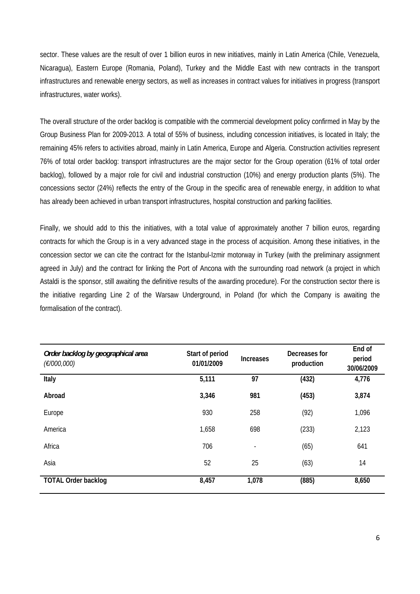sector. These values are the result of over 1 billion euros in new initiatives, mainly in Latin America (Chile, Venezuela, Nicaragua), Eastern Europe (Romania, Poland), Turkey and the Middle East with new contracts in the transport infrastructures and renewable energy sectors, as well as increases in contract values for initiatives in progress (transport infrastructures, water works).

The overall structure of the order backlog is compatible with the commercial development policy confirmed in May by the Group Business Plan for 2009-2013. A total of 55% of business, including concession initiatives, is located in Italy; the remaining 45% refers to activities abroad, mainly in Latin America, Europe and Algeria. Construction activities represent 76% of total order backlog: transport infrastructures are the major sector for the Group operation (61% of total order backlog), followed by a major role for civil and industrial construction (10%) and energy production plants (5%). The concessions sector (24%) reflects the entry of the Group in the specific area of renewable energy, in addition to what has already been achieved in urban transport infrastructures, hospital construction and parking facilities.

Finally, we should add to this the initiatives, with a total value of approximately another 7 billion euros, regarding contracts for which the Group is in a very advanced stage in the process of acquisition. Among these initiatives, in the concession sector we can cite the contract for the Istanbul-Izmir motorway in Turkey (with the preliminary assignment agreed in July) and the contract for linking the Port of Ancona with the surrounding road network (a project in which Astaldi is the sponsor, still awaiting the definitive results of the awarding procedure). For the construction sector there is the initiative regarding Line 2 of the Warsaw Underground, in Poland (for which the Company is awaiting the formalisation of the contract).

| Order backlog by geographical area<br>(E/000,000) | Start of period<br>01/01/2009 | <b>Increases</b>         | Decreases for<br>production | End of<br>period<br>30/06/2009 |
|---------------------------------------------------|-------------------------------|--------------------------|-----------------------------|--------------------------------|
| Italy                                             | 5,111                         | 97                       | (432)                       | 4,776                          |
| Abroad                                            | 3,346                         | 981                      | (453)                       | 3,874                          |
| Europe                                            | 930                           | 258                      | (92)                        | 1,096                          |
| America                                           | 1,658                         | 698                      | (233)                       | 2,123                          |
| Africa                                            | 706                           | $\overline{\phantom{a}}$ | (65)                        | 641                            |
| Asia                                              | 52                            | 25                       | (63)                        | 14                             |
| <b>TOTAL Order backlog</b>                        | 8,457                         | 1,078                    | (885)                       | 8,650                          |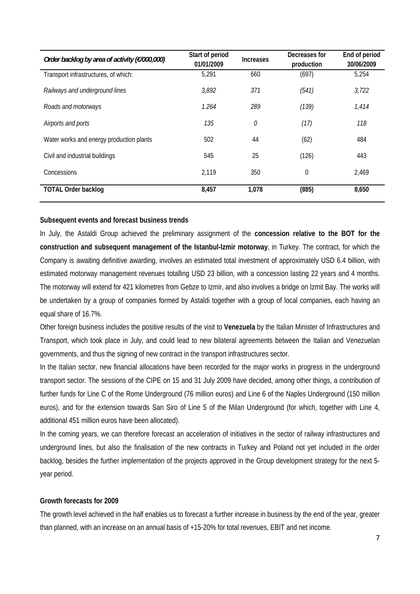| Order backlog by area of activity (€/000,000) | Start of period<br>01/01/2009 | <b>Increases</b> | Decreases for<br>production | End of period<br>30/06/2009 |
|-----------------------------------------------|-------------------------------|------------------|-----------------------------|-----------------------------|
| Transport infrastructures, of which:          | 5,291                         | 660              | (697)                       | 5,254                       |
| Railways and underground lines                | 3,892                         | 371              | (541)                       | 3,722                       |
| Roads and motorways                           | 1.264                         | 289              | (139)                       | 1,414                       |
| Airports and ports                            | 135                           | 0                | (17)                        | 118                         |
| Water works and energy production plants      | 502                           | 44               | (62)                        | 484                         |
| Civil and industrial buildings                | 545                           | 25               | (126)                       | 443                         |
| Concessions                                   | 2,119                         | 350              | $\mathbf 0$                 | 2,469                       |
| <b>TOTAL Order backlog</b>                    | 8,457                         | 1,078            | (885)                       | 8,650                       |

### **Subsequent events and forecast business trends**

In July, the Astaldi Group achieved the preliminary assignment of the **concession relative to the BOT for the construction and subsequent management of the Istanbul-Izmir motorway**, in Turkey. The contract, for which the Company is awaiting definitive awarding, involves an estimated total investment of approximately USD 6.4 billion, with estimated motorway management revenues totalling USD 23 billion, with a concession lasting 22 years and 4 months. The motorway will extend for 421 kilometres from Gebze to Izmir, and also involves a bridge on Izmit Bay. The works will be undertaken by a group of companies formed by Astaldi together with a group of local companies, each having an equal share of 16.7%.

Other foreign business includes the positive results of the visit to **Venezuela** by the Italian Minister of Infrastructures and Transport, which took place in July, and could lead to new bilateral agreements between the Italian and Venezuelan governments, and thus the signing of new contract in the transport infrastructures sector.

In the Italian sector, new financial allocations have been recorded for the major works in progress in the underground transport sector. The sessions of the CIPE on 15 and 31 July 2009 have decided, among other things, a contribution of further funds for Line C of the Rome Underground (76 million euros) and Line 6 of the Naples Underground (150 million euros), and for the extension towards San Siro of Line 5 of the Milan Underground (for which, together with Line 4, additional 451 million euros have been allocated).

In the coming years, we can therefore forecast an acceleration of initiatives in the sector of railway infrastructures and underground lines, but also the finalisation of the new contracts in Turkey and Poland not yet included in the order backlog, besides the further implementation of the projects approved in the Group development strategy for the next 5 year period.

#### **Growth forecasts for 2009**

The growth level achieved in the half enables us to forecast a further increase in business by the end of the year, greater than planned, with an increase on an annual basis of +15-20% for total revenues, EBIT and net income.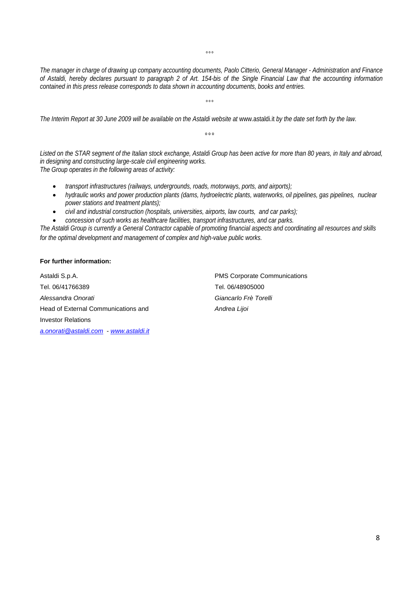$^{\circ}$ °

*The manager in charge of drawing up company accounting documents, Paolo Citterio, General Manager - Administration and Finance of Astaldi, hereby declares pursuant to paragraph 2 of Art. 154-bis of the Single Financial Law that the accounting information contained in this press release corresponds to data shown in accounting documents, books and entries.* 

 $^{\circ}$ °

The Interim Report at 30 June 2009 will be available on the Astaldi website at www.astaldi.it by the date set forth by the law.

 $000$ 

*Listed on the STAR segment of the Italian stock exchange, Astaldi Group has been active for more than 80 years, in Italy and abroad, in designing and constructing large-scale civil engineering works. The Group operates in the following areas of activity:* 

- *transport infrastructures (railways, undergrounds, roads, motorways, ports, and airports);*
- *hydraulic works and power production plants (dams, hydroelectric plants, waterworks, oil pipelines, gas pipelines, nuclear power stations and treatment plants);*
- *civil and industrial construction (hospitals, universities, airports, law courts, and car parks);*
- *concession of such works as healthcare facilities, transport infrastructures, and car parks.*

*The Astaldi Group is currently a General Contractor capable of promoting financial aspects and coordinating all resources and skills for the optimal development and management of complex and high-value public works.* 

#### **For further information:**

Astaldi S.p.A. PMS Corporate Communications Tel. 06/41766389 Tel. 06/48905000 *Alessandra Onorati Giancarlo Frè Torelli*  Head of External Communications and *Andrea Lijoi* Investor Relations *a.onorati@astaldi.com* - *www.astaldi.it*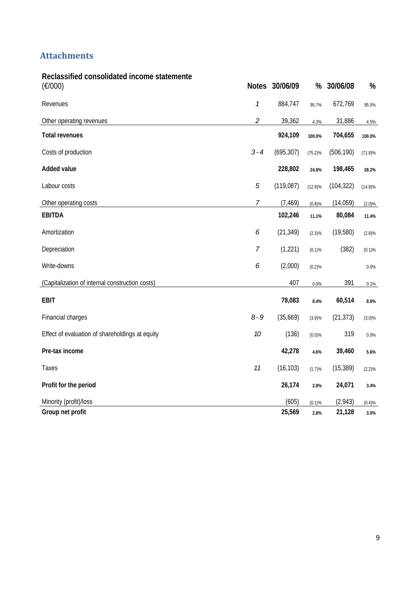# **Attachments**

| Reclassified consolidated income statemente<br>(E/000) |                             | Notes 30/06/09 | %          | 30/06/08   | %          |
|--------------------------------------------------------|-----------------------------|----------------|------------|------------|------------|
| Revenues                                               | $\boldsymbol{\mathcal{I}}$  | 884,747        | 95.7%      | 672,769    | 95.5%      |
| Other operating revenues                               | $\mathcal{L}_{\mathcal{L}}$ | 39,362         | 4.3%       | 31,886     | 4.5%       |
| <b>Total revenues</b>                                  |                             | 924,109        | 100.0%     | 704,655    | 100.0%     |
| Costs of production                                    | $3 - 4$                     | (695, 307)     | $(75.2)\%$ | (506, 190) | $(71.8)\%$ |
| <b>Added value</b>                                     |                             | 228,802        | 24.8%      | 198,465    | 28.2%      |
| Labour costs                                           | $\sqrt{5}$                  | (119,087)      | $(12.9)\%$ | (104, 322) | $(14.8)\%$ |
| Other operating costs                                  | $\overline{7}$              | (7, 469)       | (0.8)%     | (14, 059)  | (2.0)%     |
| <b>EBITDA</b>                                          |                             | 102,246        | 11.1%      | 80,084     | 11.4%      |
| Amortization                                           | 6                           | (21, 349)      | $(2.3)\%$  | (19,580)   | (2.8)%     |
| Depreciation                                           | 7                           | (1,221)        | (0.1)%     | (382)      | (0.1)%     |
| Write-downs                                            | 6                           | (2,000)        | (0.2)%     |            | 0.0%       |
| (Capitalization of internal construction costs)        |                             | 407            | 0.0%       | 391        | 0.1%       |
| <b>EBIT</b>                                            |                             | 78,083         | 8.4%       | 60,514     | 8.6%       |
| Financial charges                                      | $8 - 9$                     | (35,669)       | $(3.9)\%$  | (21, 373)  | $(3.0)\%$  |
| Effect of evaluation of shareholdings at equity        | 10                          | (136)          | (0.0)%     | 319        | 0.0%       |
| Pre-tax income                                         |                             | 42,278         | 4.6%       | 39,460     | 5.6%       |
| Taxes                                                  | 11                          | (16, 103)      | (1.7)%     | (15, 389)  | $(2.2)\%$  |
| Profit for the period                                  |                             | 26,174         | 2.8%       | 24,071     | 3.4%       |
| Minority (profit)/loss                                 |                             | (605)          | (0.1)%     | (2,943)    | (0.4)%     |
| Group net profit                                       |                             | 25,569         | 2.8%       | 21,128     | 3.0%       |